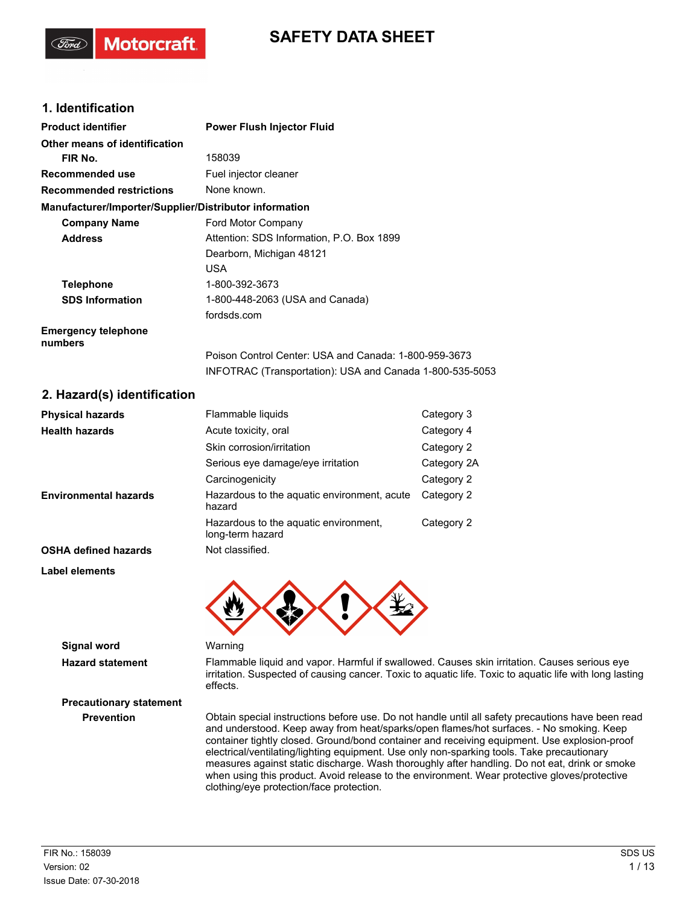# **SAFETY DATA SHEET**

## **1. Identification**

**Motorcraft** 

| <b>Product identifier</b>                              | <b>Power Flush Injector Fluid</b>                        |
|--------------------------------------------------------|----------------------------------------------------------|
| Other means of identification                          |                                                          |
| FIR No.                                                | 158039                                                   |
| <b>Recommended use</b>                                 | Fuel injector cleaner                                    |
| <b>Recommended restrictions</b>                        | None known.                                              |
| Manufacturer/Importer/Supplier/Distributor information |                                                          |
| <b>Company Name</b>                                    | Ford Motor Company                                       |
| <b>Address</b>                                         | Attention: SDS Information, P.O. Box 1899                |
|                                                        | Dearborn, Michigan 48121                                 |
|                                                        | <b>USA</b>                                               |
| <b>Telephone</b>                                       | 1-800-392-3673                                           |
| <b>SDS Information</b>                                 | 1-800-448-2063 (USA and Canada)                          |
|                                                        | fordsds.com                                              |
| <b>Emergency telephone</b><br>numbers                  |                                                          |
|                                                        | Poison Control Center: USA and Canada: 1-800-959-3673    |
|                                                        | INFOTRAC (Transportation): USA and Canada 1-800-535-5053 |

## **2. Hazard(s) identification**

| <b>Physical hazards</b>      | Flammable liquids                                         | Category 3  |
|------------------------------|-----------------------------------------------------------|-------------|
| <b>Health hazards</b>        | Acute toxicity, oral                                      | Category 4  |
|                              | Skin corrosion/irritation                                 | Category 2  |
|                              | Serious eye damage/eye irritation                         | Category 2A |
|                              | Carcinogenicity                                           | Category 2  |
| <b>Environmental hazards</b> | Hazardous to the aquatic environment, acute<br>hazard     | Category 2  |
|                              | Hazardous to the aquatic environment,<br>long-term hazard | Category 2  |
| <b>OSHA defined hazards</b>  | Not classified.                                           |             |
| Label elements               |                                                           |             |
|                              |                                                           |             |
|                              |                                                           |             |
|                              |                                                           |             |

**Signal word** Warning

**Precautionary statement**

**Hazard statement** Flammable liquid and vapor. Harmful if swallowed. Causes skin irritation. Causes serious eye irritation. Suspected of causing cancer. Toxic to aquatic life. Toxic to aquatic life with long lasting effects.

#### **Prevention** Obtain special instructions before use. Do not handle until all safety precautions have been read and understood. Keep away from heat/sparks/open flames/hot surfaces. - No smoking. Keep container tightly closed. Ground/bond container and receiving equipment. Use explosion-proof electrical/ventilating/lighting equipment. Use only non-sparking tools. Take precautionary measures against static discharge. Wash thoroughly after handling. Do not eat, drink or smoke when using this product. Avoid release to the environment. Wear protective gloves/protective clothing/eye protection/face protection.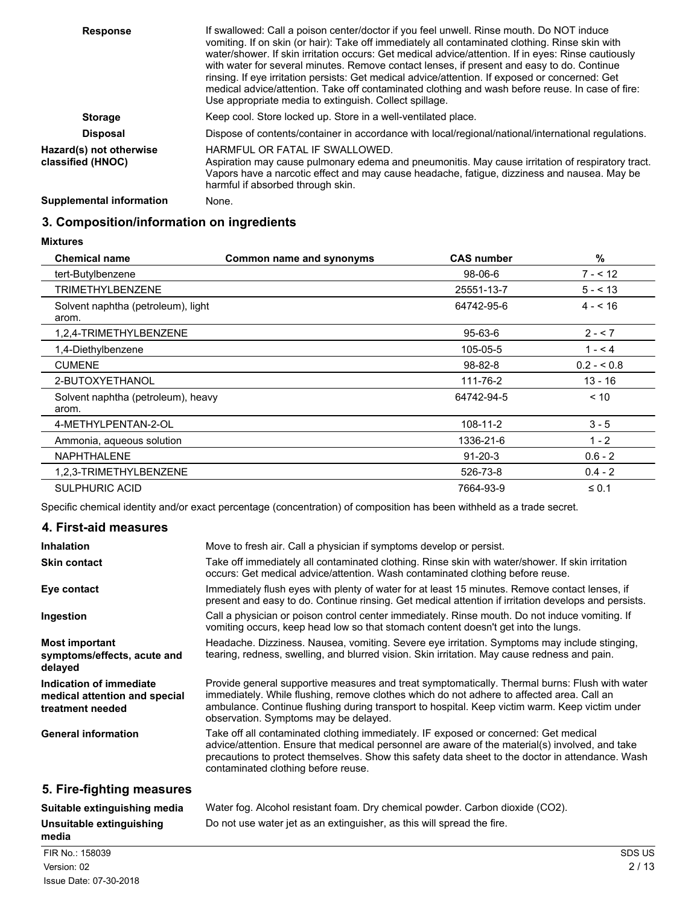| <b>Response</b>                              | If swallowed: Call a poison center/doctor if you feel unwell. Rinse mouth. Do NOT induce<br>vomiting. If on skin (or hair): Take off immediately all contaminated clothing. Rinse skin with<br>water/shower. If skin irritation occurs: Get medical advice/attention. If in eyes: Rinse cautiously<br>with water for several minutes. Remove contact lenses, if present and easy to do. Continue<br>rinsing. If eye irritation persists: Get medical advice/attention. If exposed or concerned: Get<br>medical advice/attention. Take off contaminated clothing and wash before reuse. In case of fire:<br>Use appropriate media to extinguish. Collect spillage. |
|----------------------------------------------|-------------------------------------------------------------------------------------------------------------------------------------------------------------------------------------------------------------------------------------------------------------------------------------------------------------------------------------------------------------------------------------------------------------------------------------------------------------------------------------------------------------------------------------------------------------------------------------------------------------------------------------------------------------------|
| <b>Storage</b>                               | Keep cool. Store locked up. Store in a well-ventilated place.                                                                                                                                                                                                                                                                                                                                                                                                                                                                                                                                                                                                     |
| <b>Disposal</b>                              | Dispose of contents/container in accordance with local/regional/national/international regulations.                                                                                                                                                                                                                                                                                                                                                                                                                                                                                                                                                               |
| Hazard(s) not otherwise<br>classified (HNOC) | HARMFUL OR FATAL IF SWALLOWED.<br>Aspiration may cause pulmonary edema and pneumonitis. May cause irritation of respiratory tract.<br>Vapors have a narcotic effect and may cause headache, fatigue, dizziness and nausea. May be<br>harmful if absorbed through skin.                                                                                                                                                                                                                                                                                                                                                                                            |
| Supplemental information                     | None.                                                                                                                                                                                                                                                                                                                                                                                                                                                                                                                                                                                                                                                             |

# **3. Composition/information on ingredients**

**Mixtures**

| <b>Chemical name</b>                        | Common name and synonyms | <b>CAS number</b> | %           |
|---------------------------------------------|--------------------------|-------------------|-------------|
| tert-Butylbenzene                           |                          | $98-06-6$         | $7 - 12$    |
| <b>TRIMETHYLBENZENE</b>                     |                          | 25551-13-7        | $5 - 13$    |
| Solvent naphtha (petroleum), light<br>arom. |                          | 64742-95-6        | $4 - 16$    |
| 1,2,4-TRIMETHYLBENZENE                      |                          | $95 - 63 - 6$     | $2 - 7$     |
| 1,4-Diethylbenzene                          |                          | 105-05-5          | $1 - 4$     |
| <b>CUMENE</b>                               |                          | $98 - 82 - 8$     | $0.2 - 0.8$ |
| 2-BUTOXYETHANOL                             |                          | 111-76-2          | $13 - 16$   |
| Solvent naphtha (petroleum), heavy<br>arom. |                          | 64742-94-5        | < 10        |
| 4-METHYLPENTAN-2-OL                         |                          | 108-11-2          | $3 - 5$     |
| Ammonia, aqueous solution                   |                          | 1336-21-6         | $1 - 2$     |
| <b>NAPHTHALENE</b>                          |                          | $91 - 20 - 3$     | $0.6 - 2$   |
| 1,2,3-TRIMETHYLBENZENE                      |                          | 526-73-8          | $0.4 - 2$   |
| <b>SULPHURIC ACID</b>                       |                          | 7664-93-9         | $\leq 0.1$  |

Specific chemical identity and/or exact percentage (concentration) of composition has been withheld as a trade secret.

**Unsuitable extinguishing** Do not use water jet as an extinguisher, as this will spread the fire.

# **4. First-aid measures**

| <b>Inhalation</b>                                                            | Move to fresh air. Call a physician if symptoms develop or persist.                                                                                                                                                                                                                                                                    |
|------------------------------------------------------------------------------|----------------------------------------------------------------------------------------------------------------------------------------------------------------------------------------------------------------------------------------------------------------------------------------------------------------------------------------|
| <b>Skin contact</b>                                                          | Take off immediately all contaminated clothing. Rinse skin with water/shower. If skin irritation<br>occurs: Get medical advice/attention. Wash contaminated clothing before reuse.                                                                                                                                                     |
| Eye contact                                                                  | Immediately flush eyes with plenty of water for at least 15 minutes. Remove contact lenses, if<br>present and easy to do. Continue rinsing. Get medical attention if irritation develops and persists.                                                                                                                                 |
| Ingestion                                                                    | Call a physician or poison control center immediately. Rinse mouth. Do not induce vomiting. If<br>vomiting occurs, keep head low so that stomach content doesn't get into the lungs.                                                                                                                                                   |
| <b>Most important</b><br>symptoms/effects, acute and<br>delayed              | Headache. Dizziness. Nausea, vomiting. Severe eye irritation. Symptoms may include stinging,<br>tearing, redness, swelling, and blurred vision. Skin irritation. May cause redness and pain.                                                                                                                                           |
| Indication of immediate<br>medical attention and special<br>treatment needed | Provide general supportive measures and treat symptomatically. Thermal burns: Flush with water<br>immediately. While flushing, remove clothes which do not adhere to affected area. Call an<br>ambulance. Continue flushing during transport to hospital. Keep victim warm. Keep victim under<br>observation. Symptoms may be delayed. |
| <b>General information</b>                                                   | Take off all contaminated clothing immediately. IF exposed or concerned: Get medical<br>advice/attention. Ensure that medical personnel are aware of the material(s) involved, and take<br>precautions to protect themselves. Show this safety data sheet to the doctor in attendance. Wash<br>contaminated clothing before reuse.     |
| 5. Fire-fighting measures                                                    |                                                                                                                                                                                                                                                                                                                                        |
|                                                                              |                                                                                                                                                                                                                                                                                                                                        |

**media**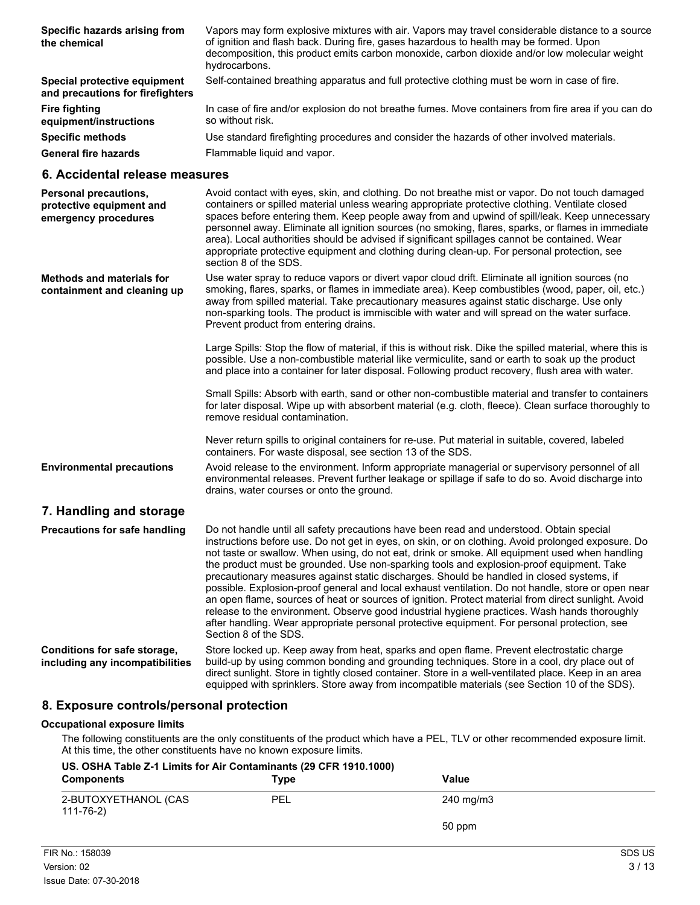| Specific hazards arising from<br>the chemical                             | Vapors may form explosive mixtures with air. Vapors may travel considerable distance to a source<br>of ignition and flash back. During fire, gases hazardous to health may be formed. Upon<br>decomposition, this product emits carbon monoxide, carbon dioxide and/or low molecular weight<br>hydrocarbons.                                                                                                                                                                                                                                                                                                                       |
|---------------------------------------------------------------------------|------------------------------------------------------------------------------------------------------------------------------------------------------------------------------------------------------------------------------------------------------------------------------------------------------------------------------------------------------------------------------------------------------------------------------------------------------------------------------------------------------------------------------------------------------------------------------------------------------------------------------------|
| Special protective equipment<br>and precautions for firefighters          | Self-contained breathing apparatus and full protective clothing must be worn in case of fire.                                                                                                                                                                                                                                                                                                                                                                                                                                                                                                                                      |
| <b>Fire fighting</b><br>equipment/instructions                            | In case of fire and/or explosion do not breathe fumes. Move containers from fire area if you can do<br>so without risk.                                                                                                                                                                                                                                                                                                                                                                                                                                                                                                            |
| <b>Specific methods</b>                                                   | Use standard firefighting procedures and consider the hazards of other involved materials.                                                                                                                                                                                                                                                                                                                                                                                                                                                                                                                                         |
| <b>General fire hazards</b>                                               | Flammable liquid and vapor.                                                                                                                                                                                                                                                                                                                                                                                                                                                                                                                                                                                                        |
| 6. Accidental release measures                                            |                                                                                                                                                                                                                                                                                                                                                                                                                                                                                                                                                                                                                                    |
| Personal precautions,<br>protective equipment and<br>emergency procedures | Avoid contact with eyes, skin, and clothing. Do not breathe mist or vapor. Do not touch damaged<br>containers or spilled material unless wearing appropriate protective clothing. Ventilate closed<br>spaces before entering them. Keep people away from and upwind of spill/leak. Keep unnecessary<br>personnel away. Eliminate all ignition sources (no smoking, flares, sparks, or flames in immediate<br>area). Local authorities should be advised if significant spillages cannot be contained. Wear<br>appropriate protective equipment and clothing during clean-up. For personal protection, see<br>section 8 of the SDS. |
| <b>Methods and materials for</b><br>containment and cleaning up           | Use water spray to reduce vapors or divert vapor cloud drift. Eliminate all ignition sources (no<br>smoking, flares, sparks, or flames in immediate area). Keep combustibles (wood, paper, oil, etc.)<br>away from spilled material. Take precautionary measures against static discharge. Use only<br>non-sparking tools. The product is immiscible with water and will spread on the water surface.<br>Prevent product from entering drains.                                                                                                                                                                                     |
|                                                                           | Large Spills: Stop the flow of material, if this is without risk. Dike the spilled material, where this is<br>possible. Use a non-combustible material like vermiculite, sand or earth to soak up the product<br>and place into a container for later disposal. Following product recovery, flush area with water.                                                                                                                                                                                                                                                                                                                 |
|                                                                           | Small Spills: Absorb with earth, sand or other non-combustible material and transfer to containers<br>for later disposal. Wipe up with absorbent material (e.g. cloth, fleece). Clean surface thoroughly to<br>remove residual contamination.                                                                                                                                                                                                                                                                                                                                                                                      |

Never return spills to original containers for re-use. Put material in suitable, covered, labeled containers. For waste disposal, see section 13 of the SDS.

Avoid release to the environment. Inform appropriate managerial or supervisory personnel of all environmental releases. Prevent further leakage or spillage if safe to do so. Avoid discharge into drains, water courses or onto the ground. **Environmental precautions**

# **7. Handling and storage**

| <b>Precautions for safe handling</b>                            | Do not handle until all safety precautions have been read and understood. Obtain special<br>instructions before use. Do not get in eyes, on skin, or on clothing. Avoid prolonged exposure. Do<br>not taste or swallow. When using, do not eat, drink or smoke. All equipment used when handling<br>the product must be grounded. Use non-sparking tools and explosion-proof equipment. Take<br>precautionary measures against static discharges. Should be handled in closed systems, if<br>possible. Explosion-proof general and local exhaust ventilation. Do not handle, store or open near<br>an open flame, sources of heat or sources of ignition. Protect material from direct sunlight. Avoid<br>release to the environment. Observe good industrial hygiene practices. Wash hands thoroughly<br>after handling. Wear appropriate personal protective equipment. For personal protection, see<br>Section 8 of the SDS. |
|-----------------------------------------------------------------|---------------------------------------------------------------------------------------------------------------------------------------------------------------------------------------------------------------------------------------------------------------------------------------------------------------------------------------------------------------------------------------------------------------------------------------------------------------------------------------------------------------------------------------------------------------------------------------------------------------------------------------------------------------------------------------------------------------------------------------------------------------------------------------------------------------------------------------------------------------------------------------------------------------------------------|
| Conditions for safe storage,<br>including any incompatibilities | Store locked up. Keep away from heat, sparks and open flame. Prevent electrostatic charge<br>build-up by using common bonding and grounding techniques. Store in a cool, dry place out of<br>direct sunlight. Store in tightly closed container. Store in a well-ventilated place. Keep in an area<br>equipped with sprinklers. Store away from incompatible materials (see Section 10 of the SDS).                                                                                                                                                                                                                                                                                                                                                                                                                                                                                                                             |

### **8. Exposure controls/personal protection**

#### **Occupational exposure limits**

The following constituents are the only constituents of the product which have a PEL, TLV or other recommended exposure limit. At this time, the other constituents have no known exposure limits.

| <b>Components</b>                 | US. OSHA Table Z-1 Limits for Air Contaminants (29 CFR 1910.1000)<br>Value<br><b>Type</b> |           |  |  |
|-----------------------------------|-------------------------------------------------------------------------------------------|-----------|--|--|
| 2-BUTOXYETHANOL (CAS<br>111-76-2) | PEL                                                                                       | 240 mg/m3 |  |  |
|                                   |                                                                                           | 50 ppm    |  |  |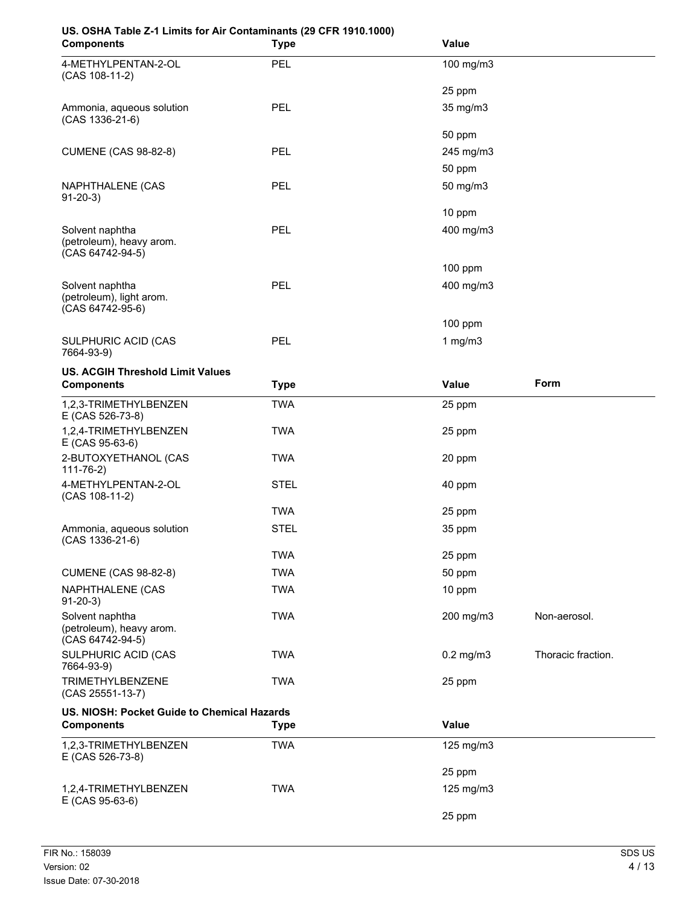# **US. OSHA Table Z-1 Limits for Air Contaminants (29 CFR 1910.1000)**

| <b>Components</b>                                               | <b>Type</b> | Value          |                    |
|-----------------------------------------------------------------|-------------|----------------|--------------------|
| 4-METHYLPENTAN-2-OL<br>(CAS 108-11-2)                           | PEL         | 100 mg/m3      |                    |
|                                                                 |             | 25 ppm         |                    |
| Ammonia, aqueous solution<br>(CAS 1336-21-6)                    | PEL         | 35 mg/m3       |                    |
|                                                                 |             | 50 ppm         |                    |
| <b>CUMENE (CAS 98-82-8)</b>                                     | PEL         | 245 mg/m3      |                    |
|                                                                 |             | 50 ppm         |                    |
| NAPHTHALENE (CAS<br>$91-20-3)$                                  | PEL         | 50 mg/m3       |                    |
|                                                                 |             | 10 ppm         |                    |
| Solvent naphtha<br>(petroleum), heavy arom.<br>(CAS 64742-94-5) | <b>PEL</b>  | 400 mg/m3      |                    |
|                                                                 |             | 100 ppm        |                    |
| Solvent naphtha<br>(petroleum), light arom.<br>(CAS 64742-95-6) | PEL         | 400 mg/m3      |                    |
|                                                                 |             | 100 ppm        |                    |
| SULPHURIC ACID (CAS<br>7664-93-9)                               | PEL         | 1 $mg/m3$      |                    |
| <b>US. ACGIH Threshold Limit Values</b>                         |             |                |                    |
| <b>Components</b>                                               | <b>Type</b> | Value          | Form               |
| 1,2,3-TRIMETHYLBENZEN<br>E (CAS 526-73-8)                       | <b>TWA</b>  | 25 ppm         |                    |
| 1,2,4-TRIMETHYLBENZEN<br>E (CAS 95-63-6)                        | <b>TWA</b>  | 25 ppm         |                    |
| 2-BUTOXYETHANOL (CAS<br>$111 - 76 - 2)$                         | <b>TWA</b>  | 20 ppm         |                    |
| 4-METHYLPENTAN-2-OL<br>(CAS 108-11-2)                           | <b>STEL</b> | 40 ppm         |                    |
|                                                                 | <b>TWA</b>  | 25 ppm         |                    |
| Ammonia, aqueous solution<br>(CAS 1336-21-6)                    | <b>STEL</b> | 35 ppm         |                    |
|                                                                 | TWA         | 25 ppm         |                    |
| <b>CUMENE (CAS 98-82-8)</b>                                     | <b>TWA</b>  | 50 ppm         |                    |
| NAPHTHALENE (CAS<br>$91-20-3)$                                  | <b>TWA</b>  | 10 ppm         |                    |
| Solvent naphtha<br>(petroleum), heavy arom.<br>(CAS 64742-94-5) | <b>TWA</b>  | 200 mg/m3      | Non-aerosol.       |
| SULPHURIC ACID (CAS<br>7664-93-9)                               | <b>TWA</b>  | $0.2$ mg/m $3$ | Thoracic fraction. |
| TRIMETHYLBENZENE<br>(CAS 25551-13-7)                            | <b>TWA</b>  | 25 ppm         |                    |
| US. NIOSH: Pocket Guide to Chemical Hazards                     |             |                |                    |
| <b>Components</b>                                               | <b>Type</b> | Value          |                    |
| 1,2,3-TRIMETHYLBENZEN<br>E (CAS 526-73-8)                       | <b>TWA</b>  | 125 mg/m3      |                    |
|                                                                 |             | 25 ppm         |                    |
| 1,2,4-TRIMETHYLBENZEN<br>E (CAS 95-63-6)                        | <b>TWA</b>  | 125 mg/m3      |                    |
|                                                                 |             | 25 ppm         |                    |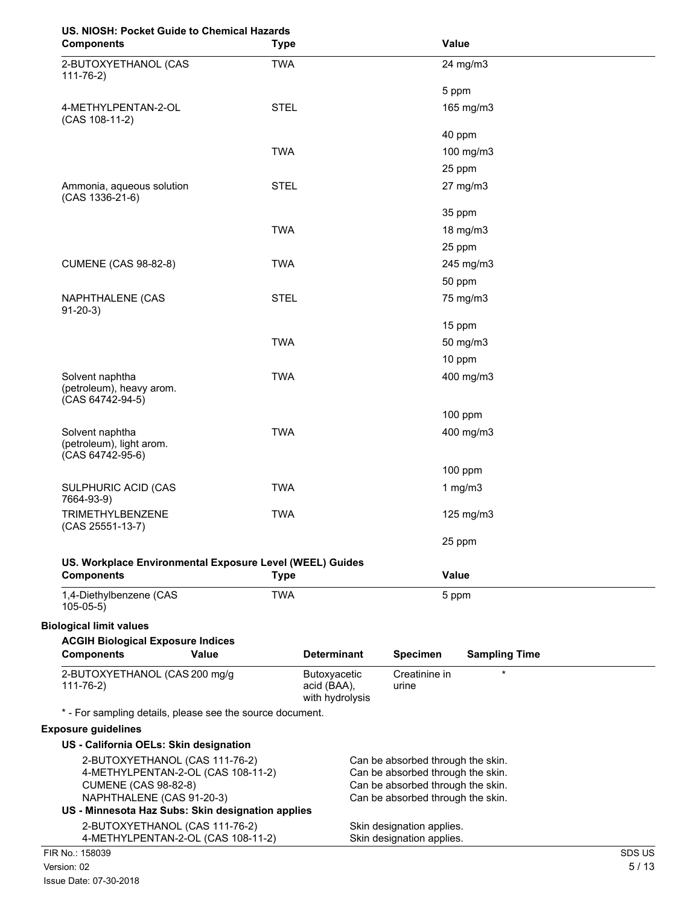# **US. NIOSH: Pocket Guide to Chemical Hazards**

| 00. NIOOIT. FUCKEL GUIUE LU CHEIHICAI HAZAIUS<br><b>Components</b> | <b>Type</b> |                                                | Value                                                                  |                      |        |
|--------------------------------------------------------------------|-------------|------------------------------------------------|------------------------------------------------------------------------|----------------------|--------|
| 2-BUTOXYETHANOL (CAS                                               | <b>TWA</b>  |                                                |                                                                        | 24 mg/m3             |        |
| $111 - 76 - 2)$                                                    |             |                                                | 5 ppm                                                                  |                      |        |
| 4-METHYLPENTAN-2-OL                                                | <b>STEL</b> |                                                |                                                                        | 165 mg/m3            |        |
| (CAS 108-11-2)                                                     |             |                                                | 40 ppm                                                                 |                      |        |
|                                                                    | <b>TWA</b>  |                                                |                                                                        | 100 mg/m3            |        |
|                                                                    |             |                                                |                                                                        |                      |        |
|                                                                    |             |                                                | 25 ppm                                                                 |                      |        |
| Ammonia, aqueous solution<br>(CAS 1336-21-6)                       | <b>STEL</b> |                                                |                                                                        | 27 mg/m3             |        |
|                                                                    |             |                                                | 35 ppm                                                                 |                      |        |
|                                                                    | <b>TWA</b>  |                                                |                                                                        | 18 mg/m3             |        |
|                                                                    |             |                                                | 25 ppm                                                                 |                      |        |
| <b>CUMENE (CAS 98-82-8)</b>                                        | <b>TWA</b>  |                                                |                                                                        | 245 mg/m3            |        |
|                                                                    |             |                                                | 50 ppm                                                                 |                      |        |
| NAPHTHALENE (CAS<br>$91-20-3$                                      | <b>STEL</b> |                                                |                                                                        | 75 mg/m3             |        |
|                                                                    |             |                                                | 15 ppm                                                                 |                      |        |
|                                                                    | <b>TWA</b>  |                                                |                                                                        | 50 mg/m3             |        |
|                                                                    |             |                                                | 10 ppm                                                                 |                      |        |
| Solvent naphtha<br>(petroleum), heavy arom.<br>(CAS 64742-94-5)    | <b>TWA</b>  |                                                |                                                                        | 400 mg/m3            |        |
|                                                                    |             |                                                |                                                                        | 100 ppm              |        |
| Solvent naphtha<br>(petroleum), light arom.<br>(CAS 64742-95-6)    | <b>TWA</b>  |                                                |                                                                        | 400 mg/m3            |        |
|                                                                    |             |                                                |                                                                        | $100$ ppm            |        |
| SULPHURIC ACID (CAS<br>7664-93-9)                                  | <b>TWA</b>  |                                                |                                                                        | 1 $mg/m3$            |        |
| <b>TRIMETHYLBENZENE</b>                                            | <b>TWA</b>  |                                                |                                                                        | 125 mg/m3            |        |
| (CAS 25551-13-7)                                                   |             |                                                | 25 ppm                                                                 |                      |        |
| US. Workplace Environmental Exposure Level (WEEL) Guides           |             |                                                |                                                                        |                      |        |
| <b>Components</b>                                                  | <b>Type</b> |                                                | Value                                                                  |                      |        |
| 1,4-Diethylbenzene (CAS<br>$105 - 05 - 5$                          | <b>TWA</b>  |                                                | 5 ppm                                                                  |                      |        |
| <b>Biological limit values</b>                                     |             |                                                |                                                                        |                      |        |
| <b>ACGIH Biological Exposure Indices</b>                           |             |                                                |                                                                        |                      |        |
| <b>Components</b><br>Value                                         |             | <b>Determinant</b>                             | <b>Specimen</b>                                                        | <b>Sampling Time</b> |        |
| 2-BUTOXYETHANOL (CAS 200 mg/g<br>$111 - 76 - 2)$                   |             | Butoxyacetic<br>acid (BAA),<br>with hydrolysis | Creatinine in<br>urine                                                 | $\star$              |        |
| * - For sampling details, please see the source document.          |             |                                                |                                                                        |                      |        |
| <b>Exposure guidelines</b>                                         |             |                                                |                                                                        |                      |        |
| US - California OELs: Skin designation                             |             |                                                |                                                                        |                      |        |
| 2-BUTOXYETHANOL (CAS 111-76-2)                                     |             |                                                | Can be absorbed through the skin.                                      |                      |        |
| 4-METHYLPENTAN-2-OL (CAS 108-11-2)                                 |             |                                                | Can be absorbed through the skin.                                      |                      |        |
| <b>CUMENE (CAS 98-82-8)</b><br>NAPHTHALENE (CAS 91-20-3)           |             |                                                | Can be absorbed through the skin.<br>Can be absorbed through the skin. |                      |        |
| US - Minnesota Haz Subs: Skin designation applies                  |             |                                                |                                                                        |                      |        |
| 2-BUTOXYETHANOL (CAS 111-76-2)                                     |             |                                                | Skin designation applies.                                              |                      |        |
| 4-METHYLPENTAN-2-OL (CAS 108-11-2)                                 |             |                                                | Skin designation applies.                                              |                      |        |
| FIR No.: 158039                                                    |             |                                                |                                                                        |                      | SDS US |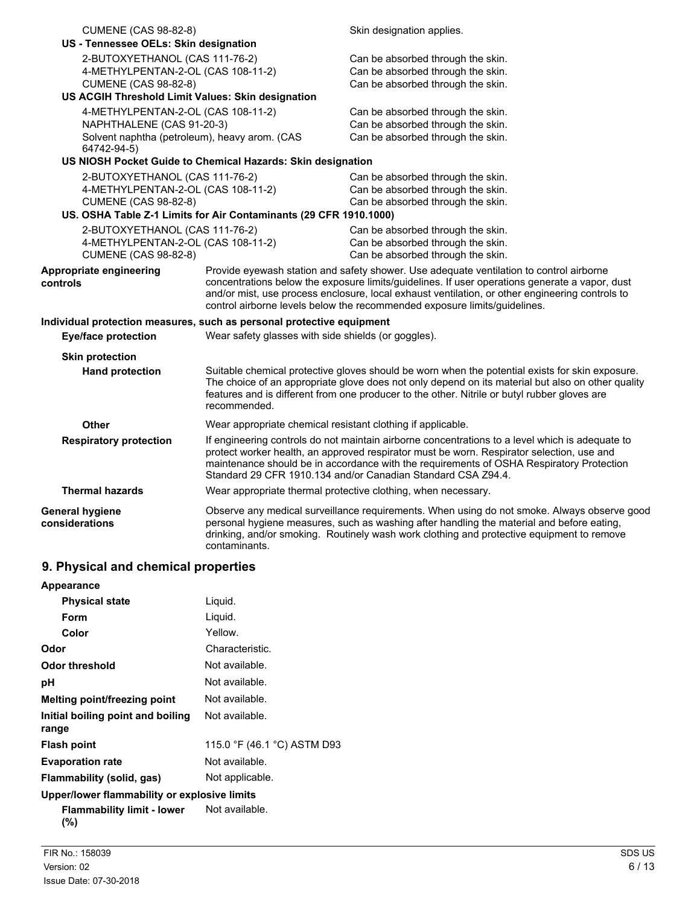| <b>CUMENE (CAS 98-82-8)</b><br>US - Tennessee OELs: Skin designation                                |                                                                                                                                                                                                                                                                                                                                                          | Skin designation applies.                                                                                                                                                                                                                                                                                                                                                 |  |
|-----------------------------------------------------------------------------------------------------|----------------------------------------------------------------------------------------------------------------------------------------------------------------------------------------------------------------------------------------------------------------------------------------------------------------------------------------------------------|---------------------------------------------------------------------------------------------------------------------------------------------------------------------------------------------------------------------------------------------------------------------------------------------------------------------------------------------------------------------------|--|
| 2-BUTOXYETHANOL (CAS 111-76-2)<br>4-METHYLPENTAN-2-OL (CAS 108-11-2)<br><b>CUMENE (CAS 98-82-8)</b> |                                                                                                                                                                                                                                                                                                                                                          | Can be absorbed through the skin.<br>Can be absorbed through the skin.<br>Can be absorbed through the skin.                                                                                                                                                                                                                                                               |  |
| US ACGIH Threshold Limit Values: Skin designation                                                   |                                                                                                                                                                                                                                                                                                                                                          |                                                                                                                                                                                                                                                                                                                                                                           |  |
| 4-METHYLPENTAN-2-OL (CAS 108-11-2)<br>NAPHTHALENE (CAS 91-20-3)<br>64742-94-5)                      | Solvent naphtha (petroleum), heavy arom. (CAS                                                                                                                                                                                                                                                                                                            | Can be absorbed through the skin.<br>Can be absorbed through the skin.<br>Can be absorbed through the skin.                                                                                                                                                                                                                                                               |  |
|                                                                                                     | US NIOSH Pocket Guide to Chemical Hazards: Skin designation                                                                                                                                                                                                                                                                                              |                                                                                                                                                                                                                                                                                                                                                                           |  |
| 2-BUTOXYETHANOL (CAS 111-76-2)<br>4-METHYLPENTAN-2-OL (CAS 108-11-2)<br><b>CUMENE (CAS 98-82-8)</b> | US. OSHA Table Z-1 Limits for Air Contaminants (29 CFR 1910.1000)                                                                                                                                                                                                                                                                                        | Can be absorbed through the skin.<br>Can be absorbed through the skin.<br>Can be absorbed through the skin.                                                                                                                                                                                                                                                               |  |
| 2-BUTOXYETHANOL (CAS 111-76-2)<br>4-METHYLPENTAN-2-OL (CAS 108-11-2)<br><b>CUMENE (CAS 98-82-8)</b> |                                                                                                                                                                                                                                                                                                                                                          | Can be absorbed through the skin.<br>Can be absorbed through the skin.<br>Can be absorbed through the skin.                                                                                                                                                                                                                                                               |  |
| Appropriate engineering<br>controls                                                                 |                                                                                                                                                                                                                                                                                                                                                          | Provide eyewash station and safety shower. Use adequate ventilation to control airborne<br>concentrations below the exposure limits/guidelines. If user operations generate a vapor, dust<br>and/or mist, use process enclosure, local exhaust ventilation, or other engineering controls to<br>control airborne levels below the recommended exposure limits/guidelines. |  |
| Individual protection measures, such as personal protective equipment                               |                                                                                                                                                                                                                                                                                                                                                          |                                                                                                                                                                                                                                                                                                                                                                           |  |
| <b>Eye/face protection</b>                                                                          | Wear safety glasses with side shields (or goggles).                                                                                                                                                                                                                                                                                                      |                                                                                                                                                                                                                                                                                                                                                                           |  |
| <b>Skin protection</b>                                                                              |                                                                                                                                                                                                                                                                                                                                                          |                                                                                                                                                                                                                                                                                                                                                                           |  |
| <b>Hand protection</b>                                                                              | recommended.                                                                                                                                                                                                                                                                                                                                             | Suitable chemical protective gloves should be worn when the potential exists for skin exposure.<br>The choice of an appropriate glove does not only depend on its material but also on other quality<br>features and is different from one producer to the other. Nitrile or butyl rubber gloves are                                                                      |  |
| Other                                                                                               |                                                                                                                                                                                                                                                                                                                                                          | Wear appropriate chemical resistant clothing if applicable.                                                                                                                                                                                                                                                                                                               |  |
| <b>Respiratory protection</b>                                                                       | If engineering controls do not maintain airborne concentrations to a level which is adequate to<br>protect worker health, an approved respirator must be worn. Respirator selection, use and<br>maintenance should be in accordance with the requirements of OSHA Respiratory Protection<br>Standard 29 CFR 1910.134 and/or Canadian Standard CSA Z94.4. |                                                                                                                                                                                                                                                                                                                                                                           |  |
| <b>Thermal hazards</b>                                                                              |                                                                                                                                                                                                                                                                                                                                                          | Wear appropriate thermal protective clothing, when necessary.                                                                                                                                                                                                                                                                                                             |  |
| <b>General hygiene</b><br>considerations                                                            | Observe any medical surveillance requirements. When using do not smoke. Always observe good<br>personal hygiene measures, such as washing after handling the material and before eating,<br>drinking, and/or smoking. Routinely wash work clothing and protective equipment to remove<br>contaminants.                                                   |                                                                                                                                                                                                                                                                                                                                                                           |  |

# **9. Physical and chemical properties**

| Appearance                                   |                             |
|----------------------------------------------|-----------------------------|
| <b>Physical state</b>                        | Liguid.                     |
| Form                                         | Liquid.                     |
| Color                                        | Yellow.                     |
| Odor                                         | Characteristic.             |
| <b>Odor threshold</b>                        | Not available.              |
| рH                                           | Not available.              |
| Melting point/freezing point                 | Not available.              |
| Initial boiling point and boiling<br>range   | Not available.              |
| <b>Flash point</b>                           | 115.0 °F (46.1 °C) ASTM D93 |
| <b>Evaporation rate</b>                      | Not available.              |
| Flammability (solid, gas)                    | Not applicable.             |
| Upper/lower flammability or explosive limits |                             |
| <b>Flammability limit - lower</b>            | Not available.              |

**(%)**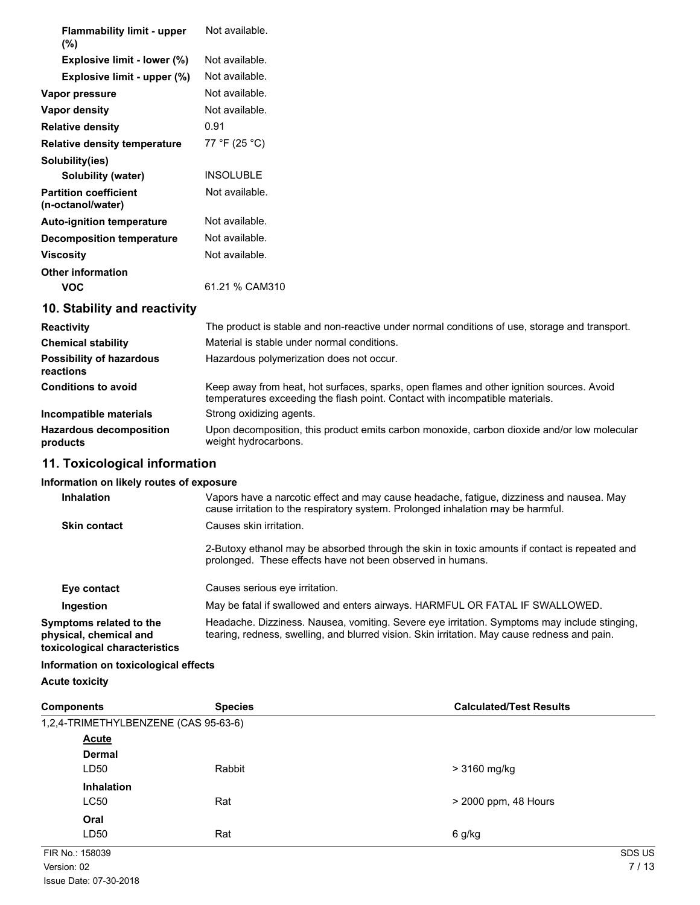| <b>Flammability limit - upper</b><br>$(\%)$       | Not available.                                                                                |
|---------------------------------------------------|-----------------------------------------------------------------------------------------------|
| Explosive limit - lower (%)                       | Not available.                                                                                |
| Explosive limit - upper (%)                       | Not available.                                                                                |
| Vapor pressure                                    | Not available.                                                                                |
| Vapor density                                     | Not available.                                                                                |
| <b>Relative density</b>                           | 0.91                                                                                          |
| <b>Relative density temperature</b>               | 77 °F (25 °C)                                                                                 |
| Solubility(ies)                                   |                                                                                               |
| Solubility (water)                                | <b>INSOLUBLE</b>                                                                              |
| <b>Partition coefficient</b><br>(n-octanol/water) | Not available.                                                                                |
| <b>Auto-ignition temperature</b>                  | Not available.                                                                                |
| <b>Decomposition temperature</b>                  | Not available.                                                                                |
| <b>Viscosity</b>                                  | Not available.                                                                                |
| <b>Other information</b>                          |                                                                                               |
| <b>VOC</b>                                        | 61.21 % CAM310                                                                                |
| 10. Stability and reactivity                      |                                                                                               |
| <b>Reactivity</b>                                 | The product is stable and non-reactive under normal conditions of use, storage and transport. |
| <b>Chemical stability</b>                         | Material is stable under normal conditions.                                                   |

| <b>Chemical stability</b>                    | Material is stable under normal conditions.                                                                                                                              |
|----------------------------------------------|--------------------------------------------------------------------------------------------------------------------------------------------------------------------------|
| <b>Possibility of hazardous</b><br>reactions | Hazardous polymerization does not occur.                                                                                                                                 |
| <b>Conditions to avoid</b>                   | Keep away from heat, hot surfaces, sparks, open flames and other ignition sources. Avoid<br>temperatures exceeding the flash point. Contact with incompatible materials. |
| Incompatible materials                       | Strong oxidizing agents.                                                                                                                                                 |
| <b>Hazardous decomposition</b><br>products   | Upon decomposition, this product emits carbon monoxide, carbon dioxide and/or low molecular<br>weight hydrocarbons.                                                      |

# **11. Toxicological information**

## **Information on likely routes of exposure**

| Inhalation                                                                         | Vapors have a narcotic effect and may cause headache, fatigue, dizziness and nausea. May<br>cause irritation to the respiratory system. Prolonged inhalation may be harmful.                 |
|------------------------------------------------------------------------------------|----------------------------------------------------------------------------------------------------------------------------------------------------------------------------------------------|
| <b>Skin contact</b>                                                                | Causes skin irritation.                                                                                                                                                                      |
|                                                                                    | 2-Butoxy ethanol may be absorbed through the skin in toxic amounts if contact is repeated and<br>prolonged. These effects have not been observed in humans.                                  |
| Eye contact                                                                        | Causes serious eye irritation.                                                                                                                                                               |
| Ingestion                                                                          | May be fatal if swallowed and enters airways. HARMFUL OR FATAL IF SWALLOWED.                                                                                                                 |
| Symptoms related to the<br>physical, chemical and<br>toxicological characteristics | Headache. Dizziness. Nausea, vomiting. Severe eye irritation. Symptoms may include stinging,<br>tearing, redness, swelling, and blurred vision. Skin irritation. May cause redness and pain. |
| .                                                                                  |                                                                                                                                                                                              |

# **Information on toxicological effects**

**Acute toxicity**

| <b>Components</b>                    | <b>Species</b> | <b>Calculated/Test Results</b> |
|--------------------------------------|----------------|--------------------------------|
| 1,2,4-TRIMETHYLBENZENE (CAS 95-63-6) |                |                                |
| <b>Acute</b>                         |                |                                |
| <b>Dermal</b>                        |                |                                |
| LD50                                 | Rabbit         | > 3160 mg/kg                   |
| <b>Inhalation</b>                    |                |                                |
| <b>LC50</b>                          | Rat            | > 2000 ppm, 48 Hours           |
| Oral                                 |                |                                |
| LD50                                 | Rat            | 6 g/kg                         |
| FIR No.: 158039                      |                | SDS US                         |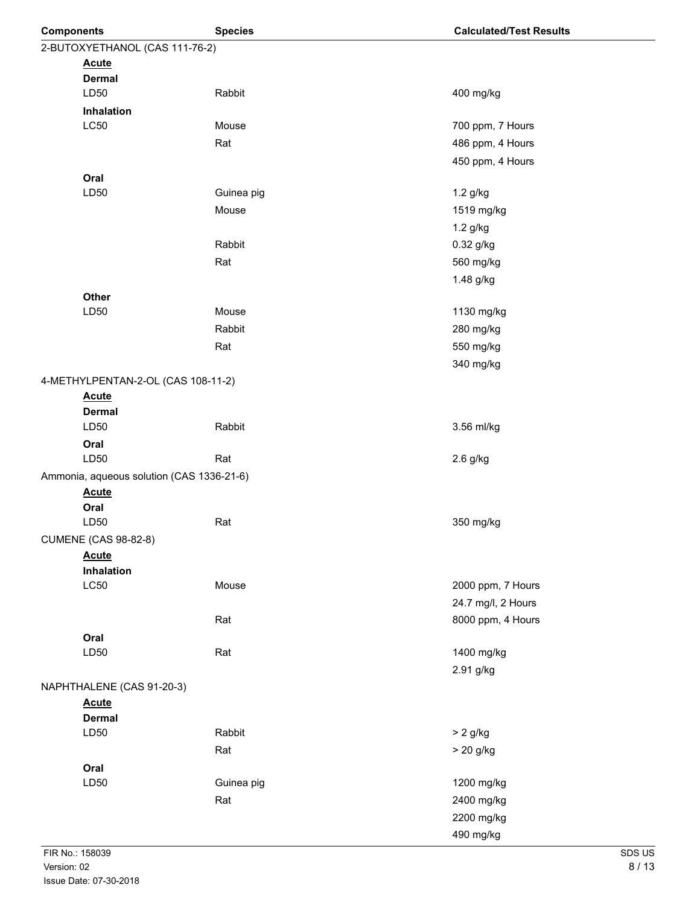| <b>Components</b>                  | <b>Species</b>                            | <b>Calculated/Test Results</b> |
|------------------------------------|-------------------------------------------|--------------------------------|
| 2-BUTOXYETHANOL (CAS 111-76-2)     |                                           |                                |
| <b>Acute</b>                       |                                           |                                |
| <b>Dermal</b>                      |                                           |                                |
| LD50                               | Rabbit                                    | 400 mg/kg                      |
| Inhalation                         |                                           |                                |
| <b>LC50</b>                        | Mouse                                     | 700 ppm, 7 Hours               |
|                                    | Rat                                       | 486 ppm, 4 Hours               |
|                                    |                                           | 450 ppm, 4 Hours               |
| Oral                               |                                           |                                |
| LD50                               | Guinea pig                                | 1.2 g/kg                       |
|                                    | Mouse                                     | 1519 mg/kg                     |
|                                    |                                           | 1.2 g/kg                       |
|                                    | Rabbit                                    | 0.32 g/kg                      |
|                                    | Rat                                       | 560 mg/kg                      |
|                                    |                                           | 1.48 g/kg                      |
| Other                              |                                           |                                |
| LD50                               | Mouse                                     | 1130 mg/kg                     |
|                                    | Rabbit                                    | 280 mg/kg                      |
|                                    | Rat                                       | 550 mg/kg                      |
|                                    |                                           | 340 mg/kg                      |
| 4-METHYLPENTAN-2-OL (CAS 108-11-2) |                                           |                                |
| <b>Acute</b>                       |                                           |                                |
| <b>Dermal</b>                      |                                           |                                |
| LD50                               | Rabbit                                    | 3.56 ml/kg                     |
| Oral                               |                                           |                                |
| LD50                               | Rat                                       | 2.6 g/kg                       |
|                                    | Ammonia, aqueous solution (CAS 1336-21-6) |                                |
| <b>Acute</b>                       |                                           |                                |
| Oral                               |                                           |                                |
| LD50                               | Rat                                       | 350 mg/kg                      |
| <b>CUMENE (CAS 98-82-8)</b>        |                                           |                                |
| <b>Acute</b>                       |                                           |                                |
| Inhalation                         |                                           |                                |
| <b>LC50</b>                        | Mouse                                     | 2000 ppm, 7 Hours              |
|                                    |                                           | 24.7 mg/l, 2 Hours             |
|                                    | Rat                                       | 8000 ppm, 4 Hours              |
| Oral                               |                                           |                                |
| LD50                               | Rat                                       | 1400 mg/kg                     |
|                                    |                                           | 2.91 g/kg                      |
| NAPHTHALENE (CAS 91-20-3)          |                                           |                                |
| <b>Acute</b>                       |                                           |                                |
| <b>Dermal</b>                      |                                           |                                |
| LD50                               | Rabbit                                    | $> 2$ g/kg                     |
|                                    | Rat                                       | > 20 g/kg                      |
| Oral                               |                                           |                                |
| LD50                               | Guinea pig                                | 1200 mg/kg                     |
|                                    | Rat                                       | 2400 mg/kg                     |
|                                    |                                           | 2200 mg/kg                     |
|                                    |                                           | 490 mg/kg                      |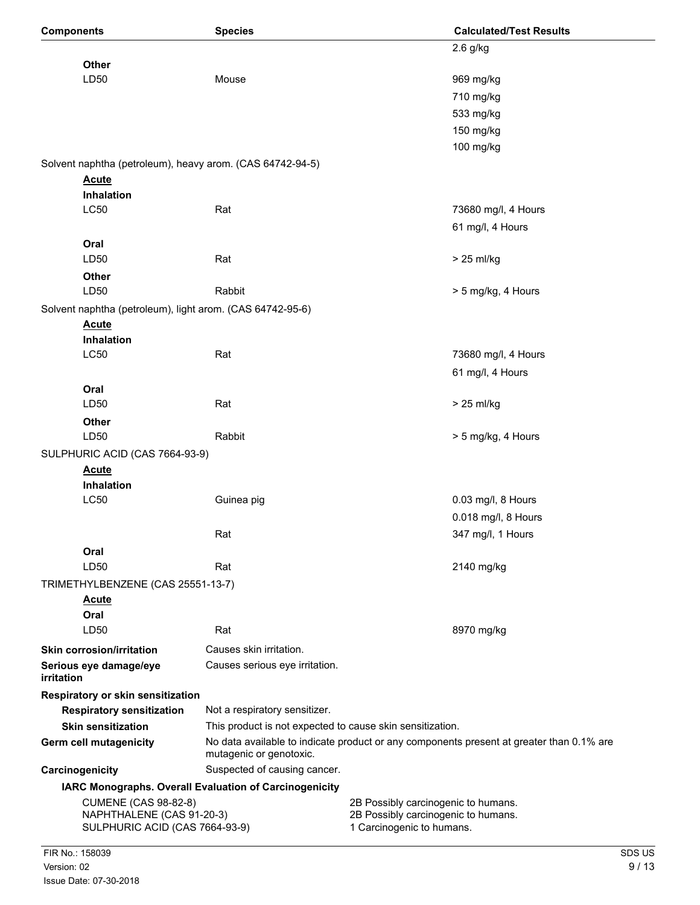| <b>Components</b>                                           | <b>Species</b>                                                   | <b>Calculated/Test Results</b>                                                           |  |  |
|-------------------------------------------------------------|------------------------------------------------------------------|------------------------------------------------------------------------------------------|--|--|
|                                                             |                                                                  | $2.6$ g/kg                                                                               |  |  |
| Other                                                       |                                                                  |                                                                                          |  |  |
| LD50                                                        | Mouse                                                            | 969 mg/kg                                                                                |  |  |
|                                                             |                                                                  | 710 mg/kg                                                                                |  |  |
|                                                             |                                                                  | 533 mg/kg                                                                                |  |  |
|                                                             |                                                                  | 150 mg/kg                                                                                |  |  |
|                                                             |                                                                  | 100 mg/kg                                                                                |  |  |
| Solvent naphtha (petroleum), heavy arom. (CAS 64742-94-5)   |                                                                  |                                                                                          |  |  |
| <b>Acute</b>                                                |                                                                  |                                                                                          |  |  |
| Inhalation                                                  |                                                                  |                                                                                          |  |  |
| <b>LC50</b>                                                 | Rat                                                              | 73680 mg/l, 4 Hours                                                                      |  |  |
|                                                             |                                                                  | 61 mg/l, 4 Hours                                                                         |  |  |
| Oral                                                        |                                                                  |                                                                                          |  |  |
| LD50                                                        | Rat                                                              | $> 25$ ml/kg                                                                             |  |  |
| Other                                                       |                                                                  |                                                                                          |  |  |
| LD50                                                        | Rabbit                                                           | > 5 mg/kg, 4 Hours                                                                       |  |  |
| Solvent naphtha (petroleum), light arom. (CAS 64742-95-6)   |                                                                  |                                                                                          |  |  |
| <b>Acute</b>                                                |                                                                  |                                                                                          |  |  |
| <b>Inhalation</b>                                           |                                                                  |                                                                                          |  |  |
| <b>LC50</b>                                                 | Rat                                                              | 73680 mg/l, 4 Hours                                                                      |  |  |
|                                                             |                                                                  | 61 mg/l, 4 Hours                                                                         |  |  |
| Oral                                                        |                                                                  |                                                                                          |  |  |
| LD50                                                        | Rat                                                              | $> 25$ ml/kg                                                                             |  |  |
| Other                                                       |                                                                  |                                                                                          |  |  |
| LD50                                                        | Rabbit                                                           | > 5 mg/kg, 4 Hours                                                                       |  |  |
| SULPHURIC ACID (CAS 7664-93-9)                              |                                                                  |                                                                                          |  |  |
| <b>Acute</b>                                                |                                                                  |                                                                                          |  |  |
| Inhalation                                                  |                                                                  |                                                                                          |  |  |
| LC50                                                        | Guinea pig                                                       | 0.03 mg/l, 8 Hours                                                                       |  |  |
|                                                             |                                                                  | 0.018 mg/l, 8 Hours                                                                      |  |  |
|                                                             | Rat                                                              | 347 mg/l, 1 Hours                                                                        |  |  |
| Oral                                                        |                                                                  |                                                                                          |  |  |
| LD50                                                        | Rat                                                              | 2140 mg/kg                                                                               |  |  |
| TRIMETHYLBENZENE (CAS 25551-13-7)                           |                                                                  |                                                                                          |  |  |
| <u>Acute</u>                                                |                                                                  |                                                                                          |  |  |
| Oral                                                        |                                                                  |                                                                                          |  |  |
| LD50                                                        | Rat                                                              | 8970 mg/kg                                                                               |  |  |
| <b>Skin corrosion/irritation</b>                            | Causes skin irritation.                                          |                                                                                          |  |  |
| Serious eye damage/eye<br>irritation                        | Causes serious eye irritation.                                   |                                                                                          |  |  |
| Respiratory or skin sensitization                           |                                                                  |                                                                                          |  |  |
| <b>Respiratory sensitization</b>                            | Not a respiratory sensitizer.                                    |                                                                                          |  |  |
| <b>Skin sensitization</b>                                   | This product is not expected to cause skin sensitization.        |                                                                                          |  |  |
| Germ cell mutagenicity                                      | mutagenic or genotoxic.                                          | No data available to indicate product or any components present at greater than 0.1% are |  |  |
| Carcinogenicity                                             | Suspected of causing cancer.                                     |                                                                                          |  |  |
| IARC Monographs. Overall Evaluation of Carcinogenicity      |                                                                  |                                                                                          |  |  |
| <b>CUMENE (CAS 98-82-8)</b>                                 |                                                                  | 2B Possibly carcinogenic to humans.                                                      |  |  |
| NAPHTHALENE (CAS 91-20-3)<br>SULPHURIC ACID (CAS 7664-93-9) | 2B Possibly carcinogenic to humans.<br>1 Carcinogenic to humans. |                                                                                          |  |  |
|                                                             |                                                                  |                                                                                          |  |  |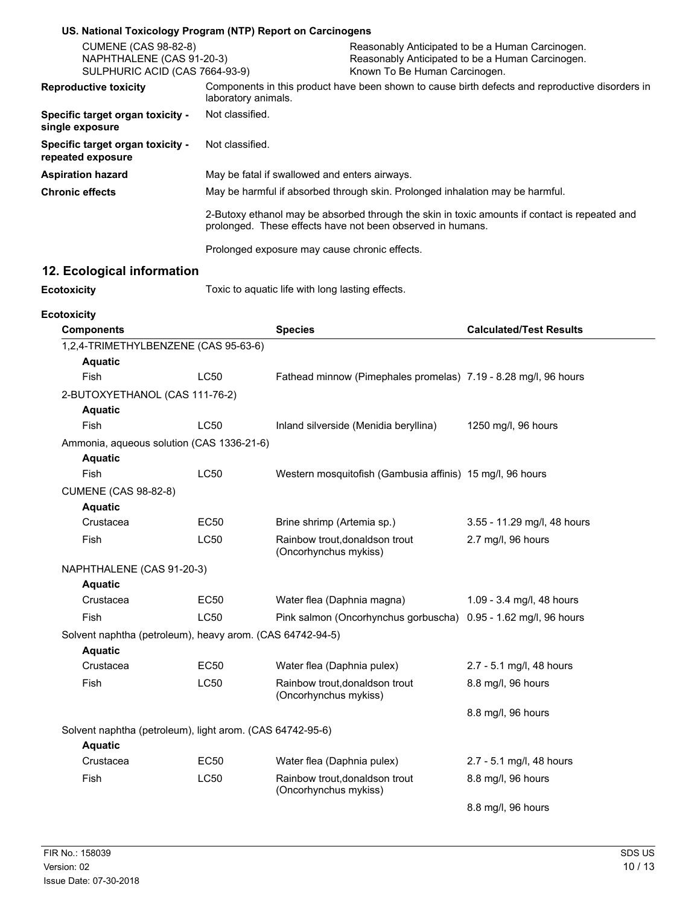| US. National Toxicology Program (NTP) Report on Carcinogens                                |                     |                                                         |                                                                               |                                                                                                      |
|--------------------------------------------------------------------------------------------|---------------------|---------------------------------------------------------|-------------------------------------------------------------------------------|------------------------------------------------------------------------------------------------------|
| <b>CUMENE (CAS 98-82-8)</b><br>NAPHTHALENE (CAS 91-20-3)<br>SULPHURIC ACID (CAS 7664-93-9) |                     |                                                         | Known To Be Human Carcinogen.                                                 | Reasonably Anticipated to be a Human Carcinogen.<br>Reasonably Anticipated to be a Human Carcinogen. |
| <b>Reproductive toxicity</b>                                                               | laboratory animals. |                                                         |                                                                               | Components in this product have been shown to cause birth defects and reproductive disorders in      |
| Specific target organ toxicity -<br>single exposure                                        | Not classified.     |                                                         |                                                                               |                                                                                                      |
| Specific target organ toxicity -<br>repeated exposure                                      | Not classified.     |                                                         |                                                                               |                                                                                                      |
| <b>Aspiration hazard</b>                                                                   |                     | May be fatal if swallowed and enters airways.           |                                                                               |                                                                                                      |
| <b>Chronic effects</b>                                                                     |                     |                                                         | May be harmful if absorbed through skin. Prolonged inhalation may be harmful. |                                                                                                      |
|                                                                                            |                     |                                                         |                                                                               |                                                                                                      |
|                                                                                            |                     |                                                         | prolonged. These effects have not been observed in humans.                    | 2-Butoxy ethanol may be absorbed through the skin in toxic amounts if contact is repeated and        |
|                                                                                            |                     | Prolonged exposure may cause chronic effects.           |                                                                               |                                                                                                      |
| 12. Ecological information                                                                 |                     |                                                         |                                                                               |                                                                                                      |
| <b>Ecotoxicity</b>                                                                         |                     | Toxic to aquatic life with long lasting effects.        |                                                                               |                                                                                                      |
| <b>Ecotoxicity</b><br><b>Components</b>                                                    |                     | <b>Species</b>                                          |                                                                               | <b>Calculated/Test Results</b>                                                                       |
| 1,2,4-TRIMETHYLBENZENE (CAS 95-63-6)                                                       |                     |                                                         |                                                                               |                                                                                                      |
| <b>Aquatic</b>                                                                             |                     |                                                         |                                                                               |                                                                                                      |
| Fish                                                                                       | <b>LC50</b>         |                                                         |                                                                               | Fathead minnow (Pimephales promelas) 7.19 - 8.28 mg/l, 96 hours                                      |
| 2-BUTOXYETHANOL (CAS 111-76-2)                                                             |                     |                                                         |                                                                               |                                                                                                      |
| <b>Aquatic</b>                                                                             |                     |                                                         |                                                                               |                                                                                                      |
| Fish                                                                                       | <b>LC50</b>         | Inland silverside (Menidia beryllina)                   |                                                                               | 1250 mg/l, 96 hours                                                                                  |
| Ammonia, aqueous solution (CAS 1336-21-6)                                                  |                     |                                                         |                                                                               |                                                                                                      |
| <b>Aquatic</b>                                                                             |                     |                                                         |                                                                               |                                                                                                      |
| Fish                                                                                       | <b>LC50</b>         |                                                         | Western mosquitofish (Gambusia affinis) 15 mg/l, 96 hours                     |                                                                                                      |
| <b>CUMENE (CAS 98-82-8)</b>                                                                |                     |                                                         |                                                                               |                                                                                                      |
| <b>Aquatic</b>                                                                             |                     |                                                         |                                                                               |                                                                                                      |
| Crustacea                                                                                  | <b>EC50</b>         | Brine shrimp (Artemia sp.)                              |                                                                               | 3.55 - 11.29 mg/l, 48 hours                                                                          |
| Fish                                                                                       | LC50                | Rainbow trout, donaldson trout<br>(Oncorhynchus mykiss) |                                                                               | 2.7 mg/l, 96 hours                                                                                   |
| NAPHTHALENE (CAS 91-20-3)                                                                  |                     |                                                         |                                                                               |                                                                                                      |
| <b>Aquatic</b>                                                                             |                     |                                                         |                                                                               |                                                                                                      |
| Crustacea                                                                                  | EC50                | Water flea (Daphnia magna)                              |                                                                               | 1.09 - 3.4 mg/l, 48 hours                                                                            |
| Fish                                                                                       | LC50                |                                                         |                                                                               | Pink salmon (Oncorhynchus gorbuscha) 0.95 - 1.62 mg/l, 96 hours                                      |
| Solvent naphtha (petroleum), heavy arom. (CAS 64742-94-5)<br><b>Aquatic</b>                |                     |                                                         |                                                                               |                                                                                                      |
| Crustacea                                                                                  | <b>EC50</b>         | Water flea (Daphnia pulex)                              |                                                                               | 2.7 - 5.1 mg/l, 48 hours                                                                             |
| Fish                                                                                       | LC50                | Rainbow trout, donaldson trout<br>(Oncorhynchus mykiss) |                                                                               | 8.8 mg/l, 96 hours                                                                                   |
|                                                                                            |                     |                                                         |                                                                               | 8.8 mg/l, 96 hours                                                                                   |
| Solvent naphtha (petroleum), light arom. (CAS 64742-95-6)                                  |                     |                                                         |                                                                               |                                                                                                      |
| <b>Aquatic</b>                                                                             |                     |                                                         |                                                                               |                                                                                                      |
| Crustacea                                                                                  | <b>EC50</b>         | Water flea (Daphnia pulex)                              |                                                                               | 2.7 - 5.1 mg/l, 48 hours                                                                             |
| Fish                                                                                       | LC50                | Rainbow trout, donaldson trout<br>(Oncorhynchus mykiss) |                                                                               | 8.8 mg/l, 96 hours                                                                                   |
|                                                                                            |                     |                                                         |                                                                               | 8.8 mg/l, 96 hours                                                                                   |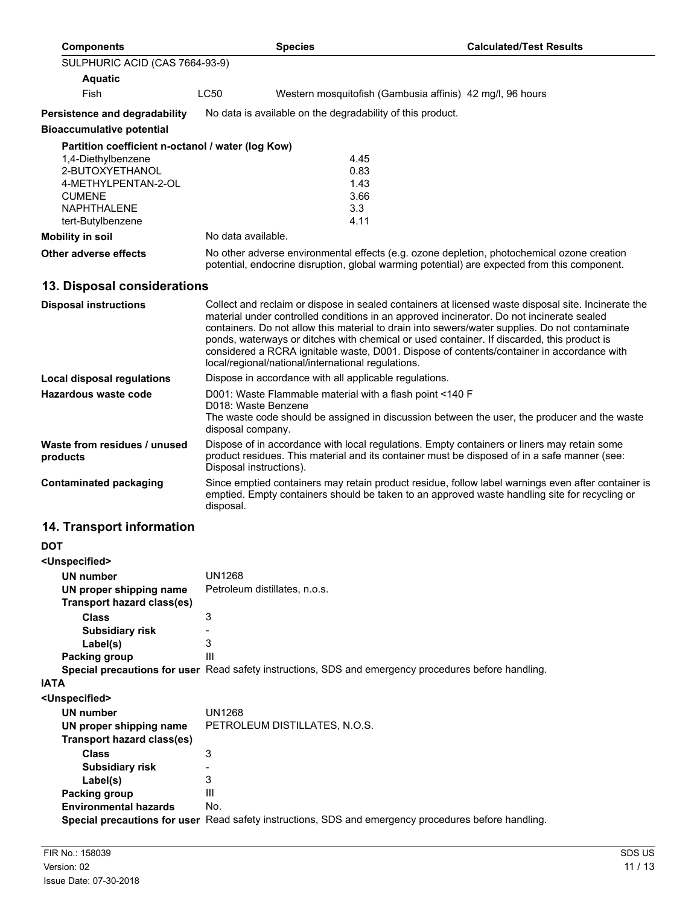| <b>Components</b>                                 |               | <b>Species</b>                                                                  | <b>Calculated/Test Results</b>                                                                                                                                                                                                                                                                                                                                                                                                                                                                |
|---------------------------------------------------|---------------|---------------------------------------------------------------------------------|-----------------------------------------------------------------------------------------------------------------------------------------------------------------------------------------------------------------------------------------------------------------------------------------------------------------------------------------------------------------------------------------------------------------------------------------------------------------------------------------------|
| SULPHURIC ACID (CAS 7664-93-9)                    |               |                                                                                 |                                                                                                                                                                                                                                                                                                                                                                                                                                                                                               |
| <b>Aquatic</b>                                    |               |                                                                                 |                                                                                                                                                                                                                                                                                                                                                                                                                                                                                               |
| Fish                                              | LC50          |                                                                                 | Western mosquitofish (Gambusia affinis) 42 mg/l, 96 hours                                                                                                                                                                                                                                                                                                                                                                                                                                     |
| Persistence and degradability                     |               | No data is available on the degradability of this product.                      |                                                                                                                                                                                                                                                                                                                                                                                                                                                                                               |
| <b>Bioaccumulative potential</b>                  |               |                                                                                 |                                                                                                                                                                                                                                                                                                                                                                                                                                                                                               |
| Partition coefficient n-octanol / water (log Kow) |               |                                                                                 |                                                                                                                                                                                                                                                                                                                                                                                                                                                                                               |
| 1,4-Diethylbenzene                                |               | 4.45                                                                            |                                                                                                                                                                                                                                                                                                                                                                                                                                                                                               |
| 2-BUTOXYETHANOL                                   |               | 0.83                                                                            |                                                                                                                                                                                                                                                                                                                                                                                                                                                                                               |
| 4-METHYLPENTAN-2-OL                               |               | 1.43                                                                            |                                                                                                                                                                                                                                                                                                                                                                                                                                                                                               |
| <b>CUMENE</b>                                     |               | 3.66                                                                            |                                                                                                                                                                                                                                                                                                                                                                                                                                                                                               |
| <b>NAPHTHALENE</b>                                |               | 3.3                                                                             |                                                                                                                                                                                                                                                                                                                                                                                                                                                                                               |
| tert-Butylbenzene                                 |               | 4.11                                                                            |                                                                                                                                                                                                                                                                                                                                                                                                                                                                                               |
| <b>Mobility in soil</b>                           |               | No data available.                                                              |                                                                                                                                                                                                                                                                                                                                                                                                                                                                                               |
| <b>Other adverse effects</b>                      |               |                                                                                 | No other adverse environmental effects (e.g. ozone depletion, photochemical ozone creation<br>potential, endocrine disruption, global warming potential) are expected from this component.                                                                                                                                                                                                                                                                                                    |
| 13. Disposal considerations                       |               |                                                                                 |                                                                                                                                                                                                                                                                                                                                                                                                                                                                                               |
| <b>Disposal instructions</b>                      |               | local/regional/national/international regulations.                              | Collect and reclaim or dispose in sealed containers at licensed waste disposal site. Incinerate the<br>material under controlled conditions in an approved incinerator. Do not incinerate sealed<br>containers. Do not allow this material to drain into sewers/water supplies. Do not contaminate<br>ponds, waterways or ditches with chemical or used container. If discarded, this product is<br>considered a RCRA ignitable waste, D001. Dispose of contents/container in accordance with |
| <b>Local disposal regulations</b>                 |               | Dispose in accordance with all applicable regulations.                          |                                                                                                                                                                                                                                                                                                                                                                                                                                                                                               |
| <b>Hazardous waste code</b>                       |               | D001: Waste Flammable material with a flash point <140 F<br>D018: Waste Benzene |                                                                                                                                                                                                                                                                                                                                                                                                                                                                                               |
|                                                   |               | disposal company.                                                               | The waste code should be assigned in discussion between the user, the producer and the waste                                                                                                                                                                                                                                                                                                                                                                                                  |
| Waste from residues / unused<br>products          |               | Disposal instructions).                                                         | Dispose of in accordance with local regulations. Empty containers or liners may retain some<br>product residues. This material and its container must be disposed of in a safe manner (see:                                                                                                                                                                                                                                                                                                   |
| <b>Contaminated packaging</b>                     | disposal.     |                                                                                 | Since emptied containers may retain product residue, follow label warnings even after container is<br>emptied. Empty containers should be taken to an approved waste handling site for recycling or                                                                                                                                                                                                                                                                                           |
| 14. Transport information                         |               |                                                                                 |                                                                                                                                                                                                                                                                                                                                                                                                                                                                                               |
| <b>DOT</b>                                        |               |                                                                                 |                                                                                                                                                                                                                                                                                                                                                                                                                                                                                               |
| <unspecified></unspecified>                       |               |                                                                                 |                                                                                                                                                                                                                                                                                                                                                                                                                                                                                               |
| <b>UN number</b>                                  | <b>UN1268</b> |                                                                                 |                                                                                                                                                                                                                                                                                                                                                                                                                                                                                               |
| UN proper shipping name                           |               | Petroleum distillates, n.o.s.                                                   |                                                                                                                                                                                                                                                                                                                                                                                                                                                                                               |
| <b>Transport hazard class(es)</b>                 |               |                                                                                 |                                                                                                                                                                                                                                                                                                                                                                                                                                                                                               |
| <b>Class</b>                                      | 3             |                                                                                 |                                                                                                                                                                                                                                                                                                                                                                                                                                                                                               |
| <b>Subsidiary risk</b>                            |               |                                                                                 |                                                                                                                                                                                                                                                                                                                                                                                                                                                                                               |

| Special precautions for user Read safety instructions, SDS and emergency procedures before handling. |  |  |  |  |
|------------------------------------------------------------------------------------------------------|--|--|--|--|
|                                                                                                      |  |  |  |  |

**Label(s)** 3 **Packing group** III

| <b>IATA</b>                  |                                                                                                      |
|------------------------------|------------------------------------------------------------------------------------------------------|
| <unspecified></unspecified>  |                                                                                                      |
| UN number                    | UN1268                                                                                               |
| UN proper shipping name      | PETROLEUM DISTILLATES, N.O.S.                                                                        |
| Transport hazard class(es)   |                                                                                                      |
| <b>Class</b>                 | 3                                                                                                    |
| <b>Subsidiary risk</b>       |                                                                                                      |
| Label(s)                     | 3                                                                                                    |
| Packing group                | Ш                                                                                                    |
| <b>Environmental hazards</b> | No.                                                                                                  |
|                              | Special precautions for user Read safety instructions, SDS and emergency procedures before handling. |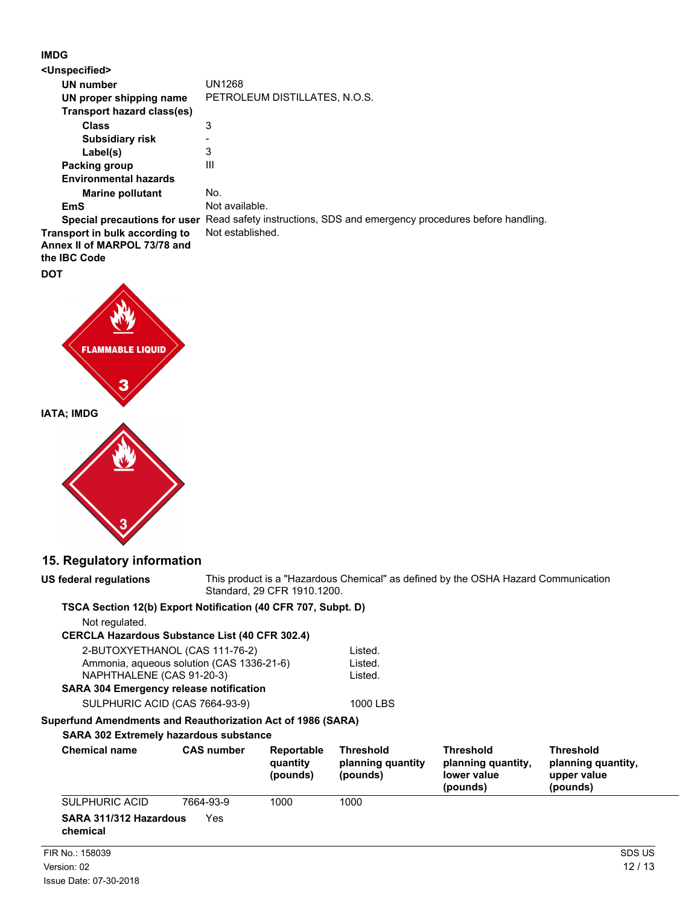## **IMDG**

| <unspecified></unspecified>                                                    |                                                                                                      |
|--------------------------------------------------------------------------------|------------------------------------------------------------------------------------------------------|
| UN number                                                                      | UN1268                                                                                               |
| UN proper shipping name                                                        | PETROLEUM DISTILLATES, N.O.S.                                                                        |
| Transport hazard class(es)                                                     |                                                                                                      |
| <b>Class</b>                                                                   | 3                                                                                                    |
| <b>Subsidiary risk</b>                                                         |                                                                                                      |
| Label(s)                                                                       | 3                                                                                                    |
| Packing group                                                                  | $\mathbf{III}$                                                                                       |
| <b>Environmental hazards</b>                                                   |                                                                                                      |
| <b>Marine pollutant</b>                                                        | No.                                                                                                  |
| EmS                                                                            | Not available.                                                                                       |
|                                                                                | Special precautions for user Read safety instructions, SDS and emergency procedures before handling. |
| Transport in bulk according to<br>Annex II of MARPOL 73/78 and<br>the IBC Code | Not established.                                                                                     |
|                                                                                |                                                                                                      |

#### **DOT**



# **15. Regulatory information**

**US federal regulations**

This product is a "Hazardous Chemical" as defined by the OSHA Hazard Communication Standard, 29 CFR 1910.1200.

### **TSCA Section 12(b) Export Notification (40 CFR 707, Subpt. D)**

| Not regulated.          |  |
|-------------------------|--|
| <b>CDCI A Uszardoue</b> |  |

**CERCLA Hazardous Substance List (40 CFR 302.4)**

| 2-BUTOXYETHANOL (CAS 111-76-2)            | Listed. |
|-------------------------------------------|---------|
| Ammonia, aqueous solution (CAS 1336-21-6) | Listed. |
| NAPHTHALENE (CAS 91-20-3)                 | Listed. |
| SARA 304 Emergency release notification   |         |
|                                           | 10001   |

SULPHURIC ACID (CAS 7664-93-9) 1000 LBS

**Superfund Amendments and Reauthorization Act of 1986 (SARA)**

## **SARA 302 Extremely hazardous substance**

| <b>Chemical name</b>               | <b>CAS number</b> | Reportable<br>quantity<br>(pounds) | <b>Threshold</b><br>planning quantity<br>(pounds) | <b>Threshold</b><br>planning quantity,<br>lower value<br>(pounds) | Threshold<br>planning quantity,<br>upper value<br>(pounds) |
|------------------------------------|-------------------|------------------------------------|---------------------------------------------------|-------------------------------------------------------------------|------------------------------------------------------------|
| SULPHURIC ACID                     | 7664-93-9         | 1000                               | 1000                                              |                                                                   |                                                            |
| SARA 311/312 Hazardous<br>chemical | Yes               |                                    |                                                   |                                                                   |                                                            |
| FIR No.: 158039                    |                   |                                    |                                                   |                                                                   | SDS US                                                     |
| Version: 02                        |                   |                                    |                                                   |                                                                   | 12/13                                                      |